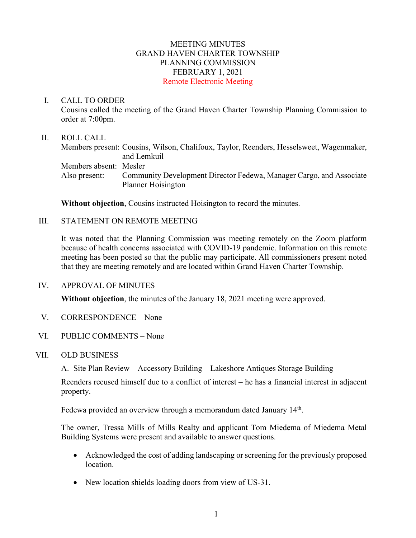# MEETING MINUTES GRAND HAVEN CHARTER TOWNSHIP PLANNING COMMISSION FEBRUARY 1, 2021 Remote Electronic Meeting

#### I. CALL TO ORDER

Cousins called the meeting of the Grand Haven Charter Township Planning Commission to order at 7:00pm.

## II. ROLL CALL

Members present: Cousins, Wilson, Chalifoux, Taylor, Reenders, Hesselsweet, Wagenmaker, and Lemkuil Members absent: Mesler Also present: Community Development Director Fedewa, Manager Cargo, and Associate Planner Hoisington

**Without objection**, Cousins instructed Hoisington to record the minutes.

#### III. STATEMENT ON REMOTE MEETING

It was noted that the Planning Commission was meeting remotely on the Zoom platform because of health concerns associated with COVID-19 pandemic. Information on this remote meeting has been posted so that the public may participate. All commissioners present noted that they are meeting remotely and are located within Grand Haven Charter Township.

# IV. APPROVAL OF MINUTES

**Without objection**, the minutes of the January 18, 2021 meeting were approved.

- V. CORRESPONDENCE None
- VI. PUBLIC COMMENTS None

# VII. OLD BUSINESS

A. Site Plan Review – Accessory Building – Lakeshore Antiques Storage Building

Reenders recused himself due to a conflict of interest – he has a financial interest in adjacent property.

Fedewa provided an overview through a memorandum dated January 14<sup>th</sup>.

The owner, Tressa Mills of Mills Realty and applicant Tom Miedema of Miedema Metal Building Systems were present and available to answer questions.

- Acknowledged the cost of adding landscaping or screening for the previously proposed location.
- New location shields loading doors from view of US-31.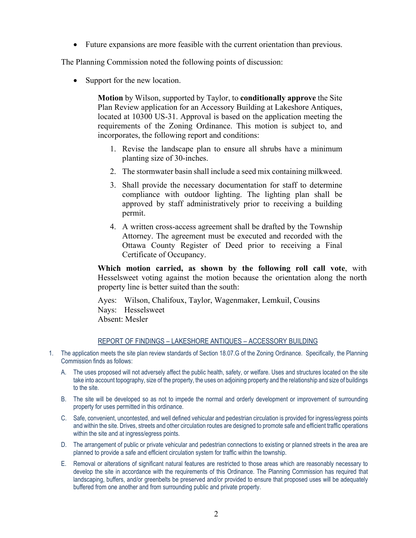• Future expansions are more feasible with the current orientation than previous.

The Planning Commission noted the following points of discussion:

Support for the new location.

**Motion** by Wilson, supported by Taylor, to **conditionally approve** the Site Plan Review application for an Accessory Building at Lakeshore Antiques, located at 10300 US-31. Approval is based on the application meeting the requirements of the Zoning Ordinance. This motion is subject to, and incorporates, the following report and conditions:

- 1. Revise the landscape plan to ensure all shrubs have a minimum planting size of 30-inches.
- 2. The stormwater basin shall include a seed mix containing milkweed.
- 3. Shall provide the necessary documentation for staff to determine compliance with outdoor lighting. The lighting plan shall be approved by staff administratively prior to receiving a building permit.
- 4. A written cross-access agreement shall be drafted by the Township Attorney. The agreement must be executed and recorded with the Ottawa County Register of Deed prior to receiving a Final Certificate of Occupancy.

**Which motion carried, as shown by the following roll call vote**, with Hesselsweet voting against the motion because the orientation along the north property line is better suited than the south:

Ayes: Wilson, Chalifoux, Taylor, Wagenmaker, Lemkuil, Cousins Nays: Hesselsweet Absent: Mesler

#### REPORT OF FINDINGS – LAKESHORE ANTIQUES – ACCESSORY BUILDING

- 1. The application meets the site plan review standards of Section 18.07.G of the Zoning Ordinance. Specifically, the Planning Commission finds as follows:
	- A. The uses proposed will not adversely affect the public health, safety, or welfare. Uses and structures located on the site take into account topography, size of the property, the uses on adjoining property and the relationship and size of buildings to the site.
	- B. The site will be developed so as not to impede the normal and orderly development or improvement of surrounding property for uses permitted in this ordinance.
	- C. Safe, convenient, uncontested, and well defined vehicular and pedestrian circulation is provided for ingress/egress points and within the site. Drives, streets and other circulation routes are designed to promote safe and efficient traffic operations within the site and at ingress/egress points.
	- D. The arrangement of public or private vehicular and pedestrian connections to existing or planned streets in the area are planned to provide a safe and efficient circulation system for traffic within the township.
	- E. Removal or alterations of significant natural features are restricted to those areas which are reasonably necessary to develop the site in accordance with the requirements of this Ordinance. The Planning Commission has required that landscaping, buffers, and/or greenbelts be preserved and/or provided to ensure that proposed uses will be adequately buffered from one another and from surrounding public and private property.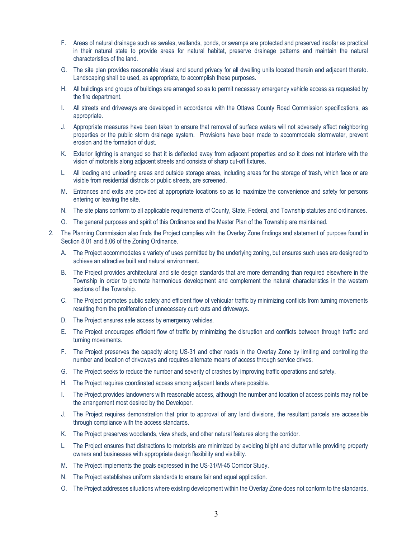- F. Areas of natural drainage such as swales, wetlands, ponds, or swamps are protected and preserved insofar as practical in their natural state to provide areas for natural habitat, preserve drainage patterns and maintain the natural characteristics of the land.
- G. The site plan provides reasonable visual and sound privacy for all dwelling units located therein and adjacent thereto. Landscaping shall be used, as appropriate, to accomplish these purposes.
- H. All buildings and groups of buildings are arranged so as to permit necessary emergency vehicle access as requested by the fire department.
- I. All streets and driveways are developed in accordance with the Ottawa County Road Commission specifications, as appropriate.
- J. Appropriate measures have been taken to ensure that removal of surface waters will not adversely affect neighboring properties or the public storm drainage system. Provisions have been made to accommodate stormwater, prevent erosion and the formation of dust.
- K. Exterior lighting is arranged so that it is deflected away from adjacent properties and so it does not interfere with the vision of motorists along adjacent streets and consists of sharp cut-off fixtures.
- L. All loading and unloading areas and outside storage areas, including areas for the storage of trash, which face or are visible from residential districts or public streets, are screened.
- M. Entrances and exits are provided at appropriate locations so as to maximize the convenience and safety for persons entering or leaving the site.
- N. The site plans conform to all applicable requirements of County, State, Federal, and Township statutes and ordinances.
- O. The general purposes and spirit of this Ordinance and the Master Plan of the Township are maintained.
- 2. The Planning Commission also finds the Project complies with the Overlay Zone findings and statement of purpose found in Section 8.01 and 8.06 of the Zoning Ordinance.
	- A. The Project accommodates a variety of uses permitted by the underlying zoning, but ensures such uses are designed to achieve an attractive built and natural environment.
	- B. The Project provides architectural and site design standards that are more demanding than required elsewhere in the Township in order to promote harmonious development and complement the natural characteristics in the western sections of the Township.
	- C. The Project promotes public safety and efficient flow of vehicular traffic by minimizing conflicts from turning movements resulting from the proliferation of unnecessary curb cuts and driveways.
	- D. The Project ensures safe access by emergency vehicles.
	- E. The Project encourages efficient flow of traffic by minimizing the disruption and conflicts between through traffic and turning movements.
	- F. The Project preserves the capacity along US-31 and other roads in the Overlay Zone by limiting and controlling the number and location of driveways and requires alternate means of access through service drives.
	- G. The Project seeks to reduce the number and severity of crashes by improving traffic operations and safety.
	- H. The Project requires coordinated access among adjacent lands where possible.
	- I. The Project provides landowners with reasonable access, although the number and location of access points may not be the arrangement most desired by the Developer.
	- J. The Project requires demonstration that prior to approval of any land divisions, the resultant parcels are accessible through compliance with the access standards.
	- K. The Project preserves woodlands, view sheds, and other natural features along the corridor.
	- L. The Project ensures that distractions to motorists are minimized by avoiding blight and clutter while providing property owners and businesses with appropriate design flexibility and visibility.
	- M. The Project implements the goals expressed in the US-31/M-45 Corridor Study.
	- N. The Project establishes uniform standards to ensure fair and equal application.
	- O. The Project addresses situations where existing development within the Overlay Zone does not conform to the standards.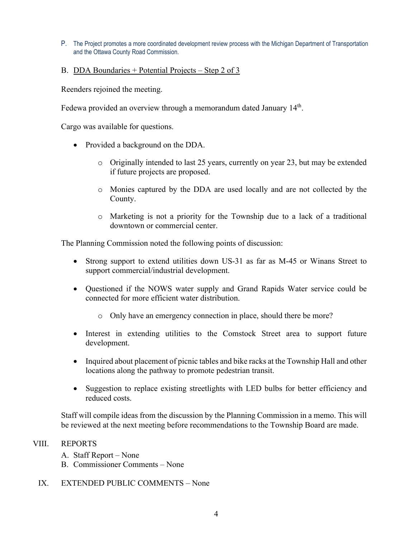- P. The Project promotes a more coordinated development review process with the Michigan Department of Transportation and the Ottawa County Road Commission.
- B. DDA Boundaries + Potential Projects Step 2 of 3

Reenders rejoined the meeting.

Fedewa provided an overview through a memorandum dated January 14<sup>th</sup>.

Cargo was available for questions.

- Provided a background on the DDA.
	- $\circ$  Originally intended to last 25 years, currently on year 23, but may be extended if future projects are proposed.
	- o Monies captured by the DDA are used locally and are not collected by the County.
	- o Marketing is not a priority for the Township due to a lack of a traditional downtown or commercial center.

The Planning Commission noted the following points of discussion:

- Strong support to extend utilities down US-31 as far as M-45 or Winans Street to support commercial/industrial development.
- Questioned if the NOWS water supply and Grand Rapids Water service could be connected for more efficient water distribution.
	- o Only have an emergency connection in place, should there be more?
- Interest in extending utilities to the Comstock Street area to support future development.
- Inquired about placement of picnic tables and bike racks at the Township Hall and other locations along the pathway to promote pedestrian transit.
- Suggestion to replace existing streetlights with LED bulbs for better efficiency and reduced costs.

Staff will compile ideas from the discussion by the Planning Commission in a memo. This will be reviewed at the next meeting before recommendations to the Township Board are made.

# VIII. REPORTS

- A. Staff Report None
- B. Commissioner Comments None
- IX. EXTENDED PUBLIC COMMENTS None